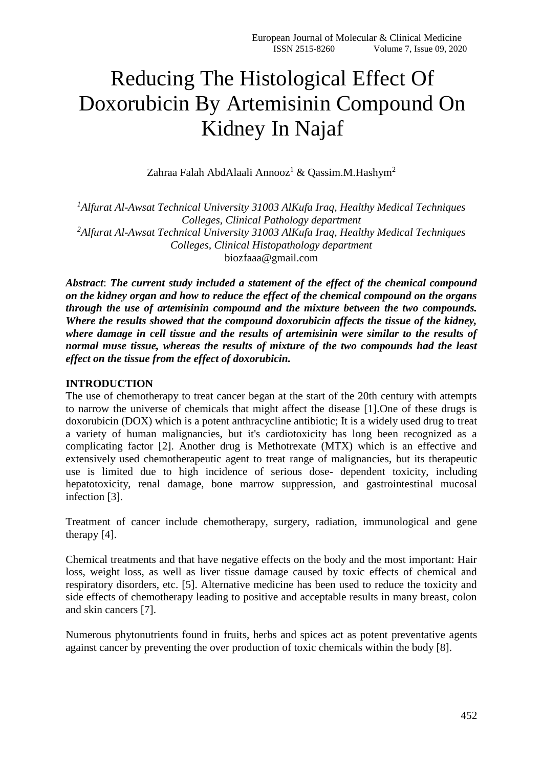# Reducing The Histological Effect Of Doxorubicin By Artemisinin Compound On Kidney In Najaf

Zahraa Falah AbdAlaali Annooz<sup>1</sup> & Qassim.M.Hashym<sup>2</sup>

*<sup>1</sup>Alfurat Al-Awsat Technical University 31003 AlKufa Iraq, Healthy Medical Techniques Colleges, Clinical Pathology department <sup>2</sup>Alfurat Al-Awsat Technical University 31003 AlKufa Iraq, Healthy Medical Techniques Colleges, Clinical Histopathology department* biozfaaa@gmail.com

*Abstract*: *The current study included a statement of the effect of the chemical compound on the kidney organ and how to reduce the effect of the chemical compound on the organs through the use of artemisinin compound and the mixture between the two compounds. Where the results showed that the compound doxorubicin affects the tissue of the kidney, where damage in cell tissue and the results of artemisinin were similar to the results of normal muse tissue, whereas the results of mixture of the two compounds had the least effect on the tissue from the effect of doxorubicin.*

#### **INTRODUCTION**

The use of chemotherapy to treat cancer began at the start of the 20th century with attempts to narrow the universe of chemicals that might affect the disease [1].One of these drugs is doxorubicin (DOX) which is a potent anthracycline antibiotic; It is a widely used drug to treat a variety of human malignancies, but it's cardiotoxicity has long been recognized as a complicating factor [2]. Another drug is Methotrexate (MTX) which is an effective and extensively used chemotherapeutic agent to treat range of malignancies, but its therapeutic use is limited due to high incidence of serious dose- dependent toxicity, including hepatotoxicity, renal damage, bone marrow suppression, and gastrointestinal mucosal infection [3].

Treatment of cancer include chemotherapy, surgery, radiation, immunological and gene therapy [4].

Chemical treatments and that have negative effects on the body and the most important: Hair loss, weight loss, as well as liver tissue damage caused by toxic effects of chemical and respiratory disorders, etc. [5]. Alternative medicine has been used to reduce the toxicity and side effects of chemotherapy leading to positive and acceptable results in many breast, colon and skin cancers [7].

Numerous phytonutrients found in fruits, herbs and spices act as potent preventative agents against cancer by preventing the over production of toxic chemicals within the body [8].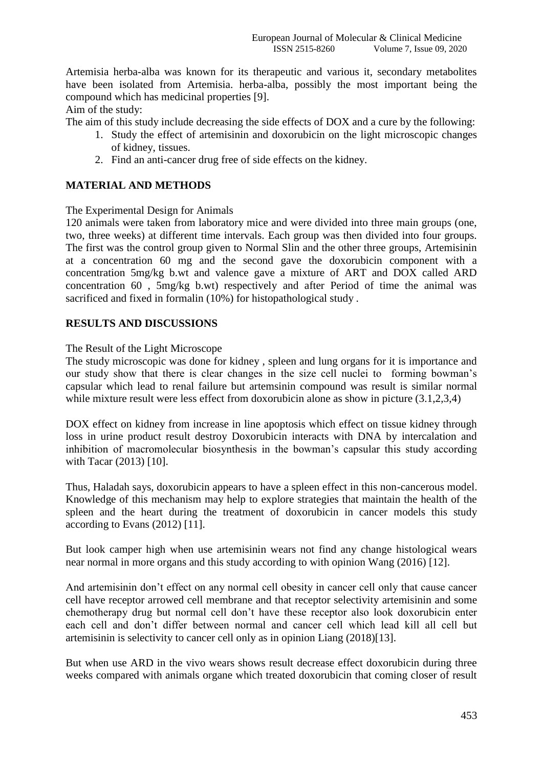Artemisia herba-alba was known for its therapeutic and various it, secondary metabolites have been isolated from Artemisia. herba-alba, possibly the most important being the compound which has medicinal properties [9].

Aim of the study:

The aim of this study include decreasing the side effects of DOX and a cure by the following:

- 1. Study the effect of artemisinin and doxorubicin on the light microscopic changes of kidney, tissues.
- 2. Find an anti-cancer drug free of side effects on the kidney.

# **MATERIAL AND METHODS**

The Experimental Design for Animals

120 animals were taken from laboratory mice and were divided into three main groups (one, two, three weeks) at different time intervals. Each group was then divided into four groups. The first was the control group given to Normal Slin and the other three groups, Artemisinin at a concentration 60 mg and the second gave the doxorubicin component with a concentration 5mg/kg b.wt and valence gave a mixture of ART and DOX called ARD concentration 60 , 5mg/kg b.wt) respectively and after Period of time the animal was sacrificed and fixed in formalin (10%) for histopathological study .

#### **RESULTS AND DISCUSSIONS**

The Result of the Light Microscope

The study microscopic was done for kidney , spleen and lung organs for it is importance and our study show that there is clear changes in the size cell nuclei to forming bowman's capsular which lead to renal failure but artemsinin compound was result is similar normal while mixture result were less effect from doxorubicin alone as show in picture  $(3.1,2,3,4)$ 

DOX effect on kidney from increase in line apoptosis which effect on tissue kidney through loss in urine product result destroy Doxorubicin interacts with DNA by intercalation and inhibition of macromolecular biosynthesis in the bowman's capsular this study according with Tacar (2013) [10].

Thus, Haladah says, doxorubicin appears to have a spleen effect in this non-cancerous model. Knowledge of this mechanism may help to explore strategies that maintain the health of the spleen and the heart during the treatment of doxorubicin in cancer models this study according to Evans (2012) [11].

But look camper high when use artemisinin wears not find any change histological wears near normal in more organs and this study according to with opinion Wang (2016) [12].

And artemisinin don't effect on any normal cell obesity in cancer cell only that cause cancer cell have receptor arrowed cell membrane and that receptor selectivity artemisinin and some chemotherapy drug but normal cell don't have these receptor also look doxorubicin enter each cell and don't differ between normal and cancer cell which lead kill all cell but artemisinin is selectivity to cancer cell only as in opinion Liang (2018)[13].

But when use ARD in the vivo wears shows result decrease effect doxorubicin during three weeks compared with animals organe which treated doxorubicin that coming closer of result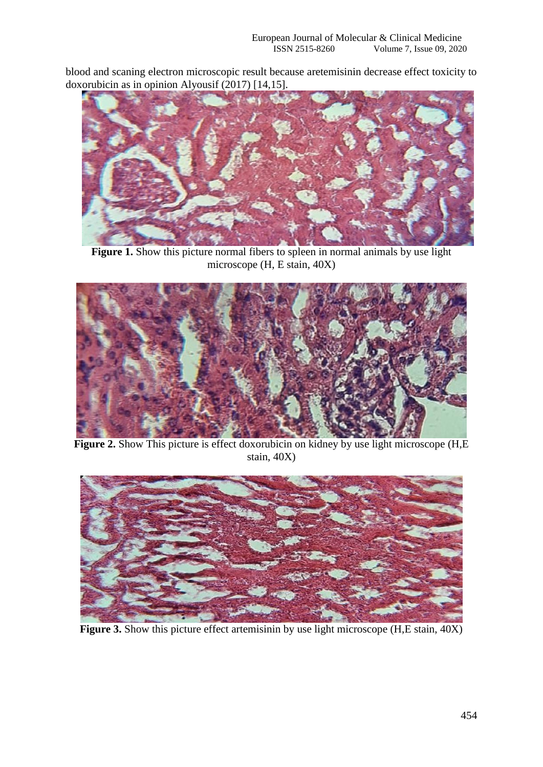blood and scaning electron microscopic result because aretemisinin decrease effect toxicity to doxorubicin as in opinion Alyousif (2017) [14,15].



**Figure 1.** Show this picture normal fibers to spleen in normal animals by use light microscope (H, E stain, 40X)



**Figure 2.** Show This picture is effect doxorubicin on kidney by use light microscope (H,E stain, 40X)



Figure 3. Show this picture effect artemisinin by use light microscope (H,E stain,  $40X$ )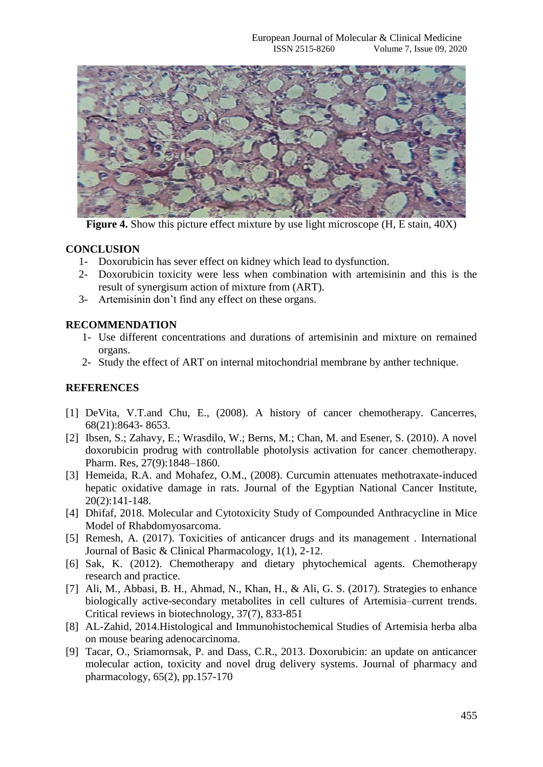

**Figure 4.** Show this picture effect mixture by use light microscope (H, E stain, 40X)

## **CONCLUSION**

- 1- Doxorubicin has sever effect on kidney which lead to dysfunction.
- 2- Doxorubicin toxicity were less when combination with artemisinin and this is the result of synergisum action of mixture from (ART).
- 3- Artemisinin don't find any effect on these organs.

## **RECOMMENDATION**

- 1- Use different concentrations and durations of artemisinin and mixture on remained organs.
- 2- Study the effect of ART on internal mitochondrial membrane by anther technique.

# **REFERENCES**

- [1] DeVita, V.T.and Chu, E., (2008). A history of cancer chemotherapy. Cancerres, 68(21):8643- 8653.
- [2] Ibsen, S.; Zahavy, E.; Wrasdilo, W.; Berns, M.; Chan, M. and Esener, S. (2010). A novel doxorubicin prodrug with controllable photolysis activation for cancer chemotherapy. Pharm. Res, 27(9):1848–1860.
- [3] Hemeida, R.A. and Mohafez, O.M., (2008). Curcumin attenuates methotraxate-induced hepatic oxidative damage in rats. Journal of the Egyptian National Cancer Institute, 20(2):141-148.
- [4] Dhifaf, 2018. Molecular and Cytotoxicity Study of Compounded Anthracycline in Mice Model of Rhabdomyosarcoma.
- [5] Remesh, A. (2017). Toxicities of anticancer drugs and its management . International Journal of Basic & Clinical Pharmacology, 1(1), 2-12.
- [6] Sak, K. (2012). Chemotherapy and dietary phytochemical agents. Chemotherapy research and practice.
- [7] Ali, M., Abbasi, B. H., Ahmad, N., Khan, H., & Ali, G. S. (2017). Strategies to enhance biologically active-secondary metabolites in cell cultures of Artemisia–current trends. Critical reviews in biotechnology, 37(7), 833-851
- [8] AL-Zahid, 2014.Histological and Immunohistochemical Studies of Artemisia herba alba on mouse bearing adenocarcinoma.
- [9] Tacar, O., Sriamornsak, P. and Dass, C.R., 2013. Doxorubicin: an update on anticancer molecular action, toxicity and novel drug delivery systems. Journal of pharmacy and pharmacology, 65(2), pp.157-170